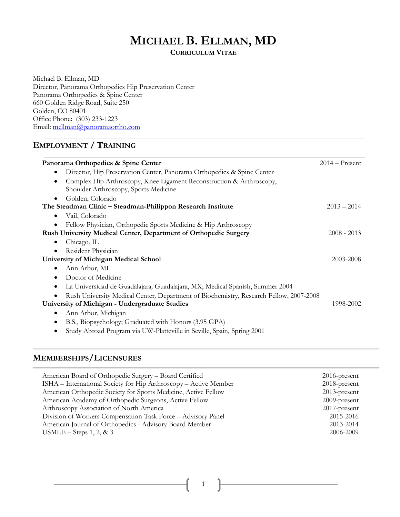# **MICHAEL B. ELLMAN, MD**

**CURRICULUM VITAE**

Michael B. Ellman, MD Director, Panorama Orthopedics Hip Preservation Center Panorama Orthopedics & Spine Center 660 Golden Ridge Road, Suite 250 Golden, CO 80401 Office Phone: (303) 233-1223 Email: mellman@panoramaortho.com

# **EMPLOYMENT / TRAINING**

| Panorama Orthopedics & Spine Center                                                    | $2014 -$ Present |
|----------------------------------------------------------------------------------------|------------------|
| Director, Hip Preservation Center, Panorama Orthopedics & Spine Center<br>٠            |                  |
| Complex Hip Arthroscopy, Knee Ligament Reconstruction & Arthroscopy,<br>٠              |                  |
| Shoulder Arthroscopy, Sports Medicine                                                  |                  |
| Golden, Colorado                                                                       |                  |
| The Steadman Clinic – Steadman-Philippon Research Institute                            | $2013 - 2014$    |
| Vail, Colorado<br>٠                                                                    |                  |
| Fellow Physician, Orthopedic Sports Medicine & Hip Arthroscopy                         |                  |
| Rush University Medical Center, Department of Orthopedic Surgery                       | $2008 - 2013$    |
| Chicago, IL<br>٠                                                                       |                  |
| Resident Physician                                                                     |                  |
| <b>University of Michigan Medical School</b>                                           | 2003-2008        |
| Ann Arbor, MI<br>٠                                                                     |                  |
| Doctor of Medicine<br>٠                                                                |                  |
| La Universidad de Guadalajara, Guadalajara, MX; Medical Spanish, Summer 2004<br>٠      |                  |
| Rush University Medical Center, Department of Biochemistry, Research Fellow, 2007-2008 |                  |
| University of Michigan - Undergraduate Studies                                         | 1998-2002        |
| Ann Arbor, Michigan<br>٠                                                               |                  |
| B.S., Biopsychology; Graduated with Honors (3.95 GPA)<br>٠                             |                  |
| Study Abroad Program via UW-Platteville in Seville, Spain, Spring 2001                 |                  |

### **MEMBERSHIPS/LICENSURES**

| American Board of Orthopedic Surgery - Board Certified           | $2016$ -present |
|------------------------------------------------------------------|-----------------|
| ISHA – International Society for Hip Arthroscopy – Active Member | $2018$ -present |
| American Orthopedic Society for Sports Medicine, Active Fellow   | $2013$ -present |
| American Academy of Orthopedic Surgeons, Active Fellow           | $2009$ -present |
| Arthroscopy Association of North America                         | $2017$ -present |
| Division of Workers Compensation Task Force - Advisory Panel     | 2015-2016       |
| American Journal of Orthopedics - Advisory Board Member          | 2013-2014       |
| USMLE – Steps $1, 2, \& 3$                                       | 2006-2009       |
|                                                                  |                 |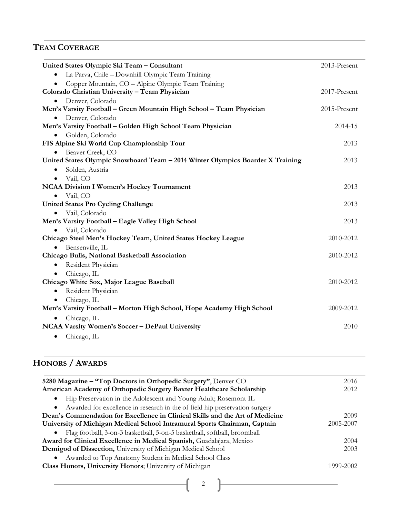# **TEAM COVERAGE**

| United States Olympic Ski Team - Consultant                                    | 2013-Present |
|--------------------------------------------------------------------------------|--------------|
| La Parva, Chile - Downhill Olympic Team Training<br>$\bullet$                  |              |
| Copper Mountain, CO - Alpine Olympic Team Training                             |              |
| Colorado Christian University - Team Physician                                 | 2017-Present |
| Denver, Colorado                                                               |              |
| Men's Varsity Football - Green Mountain High School - Team Physician           | 2015-Present |
| Denver, Colorado                                                               |              |
| Men's Varsity Football - Golden High School Team Physician                     | 2014-15      |
| Golden, Colorado<br>$\bullet$                                                  |              |
| FIS Alpine Ski World Cup Championship Tour                                     | 2013         |
| Beaver Creek, CO                                                               |              |
| United States Olympic Snowboard Team - 2014 Winter Olympics Boarder X Training | 2013         |
| Solden, Austria<br>٠                                                           |              |
| Vail, CO<br>$\bullet$                                                          |              |
| <b>NCAA Division I Women's Hockey Tournament</b>                               | 2013         |
| Vail, CO<br>$\bullet$                                                          |              |
| <b>United States Pro Cycling Challenge</b>                                     | 2013         |
| Vail, Colorado                                                                 |              |
| Men's Varsity Football - Eagle Valley High School                              | 2013         |
| Vail, Colorado                                                                 |              |
| Chicago Steel Men's Hockey Team, United States Hockey League                   | 2010-2012    |
| Bensenville, IL<br>$\bullet$                                                   |              |
| Chicago Bulls, National Basketball Association                                 | 2010-2012    |
| Resident Physician<br>$\bullet$                                                |              |
| Chicago, IL                                                                    |              |
| Chicago White Sox, Major League Baseball                                       | 2010-2012    |
| Resident Physician<br>$\bullet$                                                |              |
| Chicago, IL<br>$\bullet$                                                       |              |
| Men's Varsity Football - Morton High School, Hope Academy High School          | 2009-2012    |
| Chicago, IL                                                                    |              |
| NCAA Varsity Women's Soccer - DePaul University                                | 2010         |
| Chicago, IL<br>$\bullet$                                                       |              |

# **HONORS / AWARDS**

| 5280 Magazine – "Top Doctors in Orthopedic Surgery", Denver CO                | 2016      |
|-------------------------------------------------------------------------------|-----------|
| American Academy of Orthopedic Surgery Baxter Healthcare Scholarship          | 2012      |
| Hip Preservation in the Adolescent and Young Adult; Rosemont IL               |           |
| Awarded for excellence in research in the of field hip preservation surgery   |           |
| Dean's Commendation for Excellence in Clinical Skills and the Art of Medicine | 2009      |
| University of Michigan Medical School Intramural Sports Chairman, Captain     | 2005-2007 |
| Flag football, 3-on-3 basketball, 5-on-5 basketball, softball, broomball      |           |
| Award for Clinical Excellence in Medical Spanish, Guadalajara, Mexico         | 2004      |
| Demigod of Dissection, University of Michigan Medical School                  | 2003      |
| Awarded to Top Anatomy Student in Medical School Class                        |           |
| Class Honors, University Honors; University of Michigan                       | 1999-2002 |
|                                                                               |           |

2

<u> 1990 - Johann Barbara, martxa</u>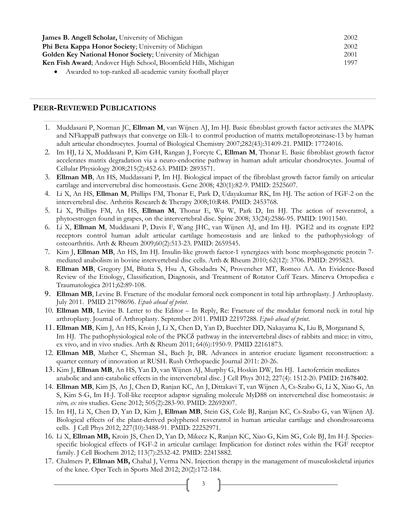| <b>James B. Angell Scholar, University of Michigan</b>          | 2002 |
|-----------------------------------------------------------------|------|
| Phi Beta Kappa Honor Society; University of Michigan            | 2002 |
| Golden Key National Honor Society; University of Michigan       | 2001 |
| Ken Fish Award; Andover High School, Bloomfield Hills, Michigan | 1997 |
| Awarded to top-ranked all-academic varsity football player      |      |

## **PEER-REVIEWED PUBLICATIONS**

- 1. Muddasani P, Norman JC, **Ellman M**, van Wijnen AJ, Im HJ. Basic fibroblast growth factor activates the MAPK and NFkappaB pathways that converge on Elk-1 to control production of matrix metalloproteinase-13 by human adult articular chondrocytes. Journal of Biological Chemistry 2007;282(43):31409-21. PMID: 17724016.
- 2. Im HJ, Li X, Muddasani P, Kim GH, Rangan J, Forcyte C, **Ellman M**, Thonar E. Basic fibroblast growth factor accelerates matrix degradation via a neuro-endocrine pathway in human adult articular chondrocytes. Journal of Cellular Physiology 2008;215(2):452-63. PMID: 2893571.
- 3. **Ellman MB**, An HS, Muddassani P, Im HJ. Biological impact of the fibroblast growth factor family on articular cartilage and intervertebral disc homeostasis. Gene 2008; 420(1):82-9. PMID: 2525607.
- 4. Li X, An HS, **Ellman M**, Phillips FM, Thonar E, Park D, Udayakumar RK, Im HJ. The action of FGF-2 on the intervertebral disc. Arthritis Research & Therapy 2008;10:R48. PMID: 2453768.
- 5. Li X, Phillips FM, An HS, **Ellman M**, Thonar E, Wu W, Park D, Im HJ. The action of resveratrol, a phytoestrogen found in grapes, on the intervertebral disc. Spine 2008; 33(24):2586-95. PMID: 19011540.
- 6. Li X, **Ellman M**, Muddasani P, Davis F, Wang JHC, van Wijnen AJ, and Im HJ. PGE2 and its cognate EP2 receptors control human adult articular cartilage homeostasis and are linked to the pathophysiology of osteoarthritis. Arth & Rheum 2009;60(2):513-23. PMID: 2659545.
- 7. Kim J, **Ellman MB**, An HS, Im HJ. Insulin-like growth factor-1 synergizes with bone morphogenetic protein 7 mediated anabolism in bovine intervertebral disc cells. Arth & Rheum 2010; 62(12): 3706. PMID: 2995823.
- 8. **Ellman MB**, Gregory JM, Bhatia S, Hsu A, Ghodadra N, Provencher MT, Romeo AA. An Evidence-Based Review of the Etiology, Classification, Diagnosis, and Treatment of Rotator Cuff Tears. Minerva Ortopedica e Traumatologica 2011;62:89-108.
- 9. **Ellman MB**, Levine B. Fracture of the modular femoral neck component in total hip arthroplasty. J Arthroplasty. July 2011. PMID 21798696. *Epub ahead of print*.
- 10. **Ellman MB**, Levine B. Letter to the Editor In Reply, Re: Fracture of the modular femoral neck in total hip arthroplasty. Journal of Arthroplasty. September 2011. PMID 22197288. *Epub ahead of print.*
- 11. **Ellman MB**, Kim J, An HS, Kroin J, Li X, Chen D, Yan D, Buechter DD, Nakayama K, Liu B, Morganand S, Im HJ.The pathophysiological role of the PKCδ pathway in the intervertebral discs of rabbits and mice: in vitro, ex vivo, and in vivo studies. Arth & Rheum 2011; 64(6):1950-9. PMID 22161873.
- 12. **Ellman MB**, Mather C, Sherman SL, Bach Jr, BR. Advances in anterior cruciate ligament reconstruction: a quarter century of innovation at RUSH. Rush Orthopaedic Journal 2011: 20-26.
- 13. Kim J, **Ellman MB**, An HS, Yan D, van Wijnen AJ, Murphy G, Hoskin DW, Im HJ. Lactoferricin mediates anabolic and anti-catabolic effects in the intervertebral disc. J Cell Phys 2012; 227(4): 1512-20. PMID: 21678402.
- 14. **Ellman MB**, Kim JS, An J, Chen D, Ranjan KC, An J, Dittakavi T, van Wijnen A, Cs-Szabo G, Li X, Xiao G, An S, Kim S-G, Im H-J. Toll-like receptor adaptor signaling molecule MyD88 on intervertebral disc homeostasis: *in vitro, ex vivo* studies. Gene 2012; 505(2):283-90. PMID: 22692007.
- 15. Im HJ, Li X, Chen D, Yan D, Kim J, **Ellman MB**, Stein GS, Cole BJ, Ranjan KC, Cs-Szabo G, van Wijnen AJ. Biological effects of the plant-derived polyphenol resveratrol in human articular cartilage and chondrosarcoma cells. J Cell Phys 2012; 227(10):3488-91. PMID: 22252971.
- 16. Li X, **Ellman MB,** Kroin JS, Chen D, Yan D, Mikecz K, Ranjan KC, Xiao G, Kim SG, Cole BJ, Im H-J. Speciesspecific biological effects of FGF-2 in articular cartilage: Implication for distinct roles within the FGF receptor family. J Cell Biochem 2012; 113(7):2532-42. PMID: 22415882.
- 17. Chalmers P, **Ellman MB,** Chahal J, Verma NN. Injection therapy in the management of musculoskeletal injuries of the knee. Oper Tech in Sports Med 2012; 20(2):172-184.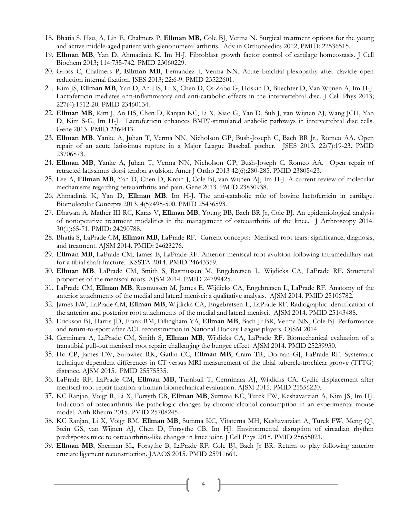- 18. Bhatia S, Hsu, A, Lin E, Chalmers P, **Ellman MB,** Cole BJ, Verma N. Surgical treatment options for the young and active middle-aged patient with glenohumeral arthritis. Adv in Orthopaedics 2012; PMID: 22536515*.*
- 19. **Ellman MB**, Yan D, Ahmadinia K, Im H-J. Fibroblast growth factor control of cartilage homeostasis. J Cell Biochem 2013; 114:735-742. PMID 23060229.
- 20. Gross C, Chalmers P, **Ellman MB**, Fernandez J, Verma NN. Acute brachial plexopathy after clavicle open reduction internal fixation. JSES 2013; 22:6-9. PMID 23522601.
- 21. Kim JS, **Ellman MB**, Yan D, An HS, Li X, Chen D, Cs-Zabo G, Hoskin D, Buechter D, Van Wijnen A, Im H-J. Lactoferricin mediates anti-inflammatory and anti-catabolic effects in the intervertebral disc. J Cell Phys 2013; 227(4):1512-20*.* PMID 23460134.
- 22. **Ellman MB**, Kim J, An HS, Chen D, Ranjan KC, Li X, Xiao G, Yan D, Suh J, van Wijnen AJ, Wang JCH, Yan D, Kim S-G, Im H-J. Lactoferricin enhances BMP7-stimulated anabolic pathways in intervertebral disc cells. Gene 2013. PMID 2364413.
- 23. **Ellman MB**, Yanke A, Juhan T, Verma NN, Nicholson GP, Bush-Joseph C, Bach BR Jr., Romeo AA. Open repair of an acute latissimus rupture in a Major League Baseball pitcher. JSES 2013. 22(7):19-23. PMID 23706873.
- 24. **Ellman MB**, Yanke A, Juhan T, Verma NN, Nicholson GP, Bush-Joseph C, Romeo AA. Open repair of retracted latissimus dorsi tendon avulsion. Amer J Ortho 2013 42(6):280-285. PMID 23805423.
- 25. Lee A, **Ellman MB**, Yan D, Chen D, Kroin J, Cole BJ, van Wijnen AJ, Im H-J. A current review of molecular mechanisms regarding osteoarthritis and pain. Gene 2013. PMID 23830938.
- 26. Ahmadinia K, Yan D, **Ellman MB**, Im H-J. The anti-catabolic role of bovine lactoferricin in cartilage. Biomolecular Concepts 2013. 4(5):495-500. PMID 25436593.
- 27. Dhawan A, Mather III RC, Karas V, **Ellman MB**, Young BB, Bach BR Jr, Cole BJ. An epidemiological analysis of nonoperative treatment modalities in the management of osteoarthritis of the knee. J Arthroscopy 2014. 30(1):65-71. PMID: 24290788.
- 28. Bhatia S, LaPrade CM, **Ellman MB**, LaPrade RF. Current concepts: Meniscal root tears: significance, diagnosis, and treatment. AJSM 2014. PMID: 24623276.
- 29. **Ellman MB**, LaPrade CM, James E, LaPrade RF. Anterior meniscal root avulsion following intramedullary nail for a tibial shaft fracture. KSSTA 2014. PMID 24643359.
- 30. **Ellman MB**, LaPrade CM, Smith S, Rasmussen M, Engebretsen L, Wijdicks CA, LaPrade RF. Structural properties of the meniscal roots. AJSM 2014. PMID 24799425.
- 31. LaPrade CM, **Ellman MB**, Rusmussen M, James E, Wijdicks CA, Engebretsen L, LaPrade RF. Anatomy of the anterior attachments of the medial and lateral menisci: a qualitative analysis. AJSM 2014*.* PMID 25106782.
- 32. James EW, LaPrade CM, **Ellman MB**, Wijdicks CA, Engebretsen L, LaPrade RF. Radiographic identification of the anterior and posterior root attachments of the medial and lateral menisci. AJSM 2014. PMID 25143488.
- 33. Erickson BJ, Harris JD, Frank RM, Fillingham YA, **Ellman MB**, Bach Jr BR, Verma NN, Cole BJ. Performance and return-to-sport after ACL reconstruction in National Hockey League players. OJSM 2014.
- 34. Cerminara A, LaPrade CM, Smith S, **Ellman MB**, Wijdicks CA, LaPrade RF. Biomechanical evaluation of a transtibial pull-out meniscal root repair: challenging the bungee effect. AJSM 2014*.* PMID 25239930.
- 35. Ho CP, James EW, Surowiec RK, Gatlin CC, **Ellman MB**, Cram TR, Dornan GJ, LaPrade RF. Systematic technique dependent differences in CT versus MRI measurement of the tibial tubercle-trochlear groove (TTTG) distance. AJSM 2015. PMID 25575535.
- 36. LaPrade RF, LaPrade CM, **Ellman MB**, Turnbull T, Cerminara AJ, Wijdicks CA. Cyclic displacement after meniscal root repair fixation: a human biomechanical evaluation. AJSM 2015. PMID 25556220.
- 37. KC Ranjan, Voigt R, Li X, Forsyth CB, **Ellman MB**, Summa KC, Turek FW, Keshavarzian A, Kim JS, Im HJ. Induction of osteoarthritis-like pathologic changes by chronic alcohol consumption in an experimental mouse model. Arth Rheum 2015. PMID 25708245.
- 38. KC Ranjan, Li X, Voigt RM, **Ellman MB**, Summa KC, Vitaterna MH, Keshavarzian A, Turek FW, Meng QJ, Stein GS, van Wijnen AJ, Chen D, Forsythe CB, Im HJ. Environmental disruption of circadian rhythm predisposes mice to osteoarthritis-like changes in knee joint. J Cell Phys 2015. PMID 25655021*.*
- 39. **Ellman MB**, Sherman SL, Forsythe B, LaPrade RF, Cole BJ, Bach Jr BR. Return to play following anterior cruciate ligament reconstruction. JAAOS 2015. PMID 25911661*.*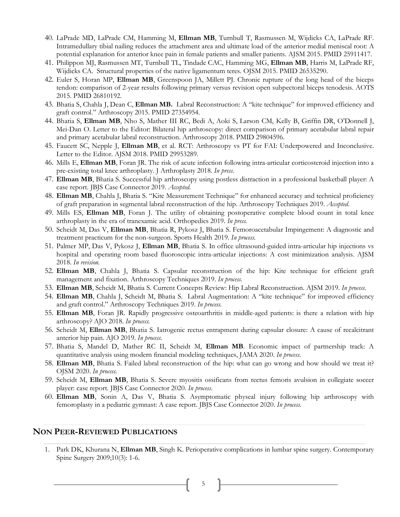- 40. LaPrade MD, LaPrade CM, Hamming M, **Ellman MB**, Turnbull T, Rasmussen M, Wijdicks CA, LaPrade RF. Intramedullary tibial nailing reduces the attachment area and ultimate load of the anterior medial meniscal root: A potential explanation for anterior knee pain in female patients and smaller patients. AJSM 2015. PMID 25911417.
- 41. Philippon MJ, Rasmussen MT, Turnbull TL, Tindade CAC, Hamming MG, **Ellman MB**, Harris M, LaPrade RF, Wijdicks CA. Structural properties of the native ligamentum teres. OJSM 2015. PMID 26535290.
- 42. Euler S, Horan MP, **Ellman MB**, Greenspoon JA, Millett PJ. Chronic rupture of the long head of the biceps tendon: comparison of 2-year results following primary versus revision open subpectoral biceps tenodesis. AOTS 2015. PMID 26810192*.*
- 43. Bhatia S, Chahla J, Dean C, **Ellman MB.** Labral Reconstruction: A "kite technique" for improved efficiency and graft control." Arthroscopy 2015. PMID 27354954.
- 44. Bhatia S, **Ellman MB**, Nho S, Mather III RC, Bedi A, Aoki S, Larson CM, Kelly B, Griffin DR, O'Donnell J, Mei-Dan O. Letter to the Editor: Bilateral hip arthroscopy: direct comparison of primary acetabular labral repair and primary acetabular labral reconstruction. Arthroscopy 2018. PMID 29804596.
- 45. Faucett SC, Nepple J, **Ellman MB**, et al. RCT: Arthroscopy vs PT for FAI: Underpowered and Inconclusive. Letter to the Editor. AJSM 2018. PMID 29953289.
- 46. Mills E, **Ellman MB**, Foran JR. The risk of acute infection following intra-articular corticosteroid injection into a pre-existing total knee arthroplasty. J Arthroplasty 2018. *In press*.
- 47. **Ellman MB**, Bhatia S. Successful hip arthroscopy using postless distraction in a professional basketball player: A case report. JBJS Case Connector 2019. *Accepted.*
- 48. **Ellman MB**, Chahla J, Bhatia S. "Kite Measurement Technique" for enhanced accuracy and technical proficiency of graft preparation in segmental labral reconstruction of the hip. Arthroscopy Techniques 2019. *Accepted*.
- 49. Mills ES, **Ellman MB**, Foran J. The utility of obtaining postoperative complete blood count in total knee arthroplasty in the era of tranexamic acid. Orthopedics 2019. *In press.*
- 50. Scheidt M, Das V, **Ellman MB**, Bhatia R, Pykosz J, Bhatia S. Femoroacetabular Impingement: A diagnostic and treatment practicum for the non-surgeon. Sports Health 2019. *In process.*
- 51. Palmer MP, Das V, Pykosz J, **Ellman MB**, Bhatia S. In office ultrasound-guided intra-articular hip injections vs hospital and operating room based fluoroscopic intra-articular injections: A cost minimization analysis. AJSM 2018. *In revision.*
- 52. **Ellman MB**, Chahla J, Bhatia S. Capsular reconstruction of the hip: Kite technique for efficient graft management and fixation. Arthroscopy Techniques 2019. *In process.*
- 53. **Ellman MB**, Scheidt M, Bhatia S. Current Concepts Review: Hip Labral Reconstruction. AJSM 2019. *In process*.
- 54. **Ellman MB**, Chahla J, Scheidt M, Bhatia S. Labral Augmentation: A "kite technique" for improved efficiency and graft control." Arthroscopy Techniques 2019. *In process.*
- 55. **Ellman MB**, Foran JR. Rapidly progressive osteoarthritis in middle-aged patients: is there a relation with hip arthroscopy? AJO 2018. *In process.*
- 56. Scheidt M, **Ellman MB**, Bhatia S. Iatrogenic rectus entrapment during capsular closure: A cause of recalcitrant anterior hip pain. AJO 2019. *In process*.
- 57. Bhatia S, Mandel D, Mather RC II, Scheidt M, **Ellman MB**. Economic impact of partnership track: A quantitative analysis using modern financial modeling techniques, JAMA 2020. *In process*.
- 58. **Ellman MB**, Bhatia S. Failed labral reconstruction of the hip: what can go wrong and how should we treat it? OJSM 2020. *In process*.
- 59. Scheidt M, **Ellman MB**, Bhatia S. Severe myositis ossificans from rectus femoris avulsion in collegiate soccer player: case report. JBJS Case Connector 2020. *In process*.
- 60. **Ellman MB**, Sonin A, Das V, Bhatia S. Asymptomatic physeal injury following hip arthroscopy with femoroplasty in a pediatric gymnast: A case report. JBJS Case Connector 2020. *In process.*

#### **NON PEER-REVIEWED PUBLICATIONS**

1. Park DK, Khurana N, **Ellman MB**, Singh K. Perioperative complications in lumbar spine surgery. Contemporary Spine Surgery 2009;10(3): 1-6.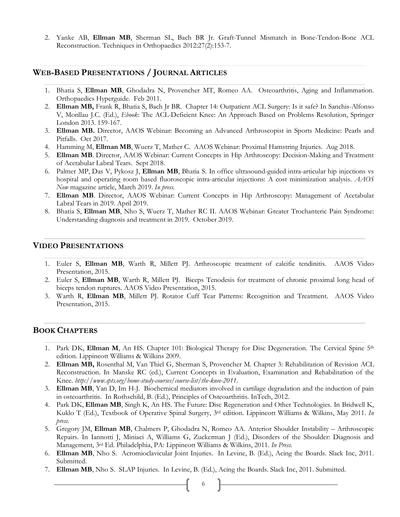2. Yanke AB, **Ellman MB**, Sherman SL, Bach BR Jr. Graft-Tunnel Mismatch in Bone-Tendon-Bone ACL Reconstruction. Techniques in Orthopaedics 2012:27(2):153-7.

#### **WEB-BASED PRESENTATIONS / JOURNAL ARTICLES**

- 1. Bhatia S, **Ellman MB**, Ghodadra N, Provencher MT, Romeo AA. Osteoarthritis, Aging and Inflammation. Orthopaedics Hyperguide. Feb 2011.
- 2. **Ellman MB,** Frank R, Bhatia S, Bach Jr BR. Chapter 14: Outpatient ACL Surgery: Is it safe? In Sanchis-Alfonso V, Monllau J.C. (Ed.), *Ebook*: The ACL-Deficient Knee: An Approach Based on Problems Resolution, Springer London 2013. 159-167.
- 3. **Ellman MB.** Director, AAOS Webinar: Becoming an Advanced Arthroscopist in Sports Medicine: Pearls and Pitfalls. Oct 2017.
- 4. Hamming M, **Ellman MB**, Wuerz T, Mather C. AAOS Webinar: Proximal Hamstring Injuries. Aug 2018.
- 5. **Ellman MB**. Director, AAOS Webinar: Current Concepts in Hip Arthroscopy: Decision-Making and Treatment of Acetabular Labral Tears. Sept 2018.
- 6. Palmer MP, Das V, Pykosz J, **Ellman MB**, Bhatia S. In office ultrasound-guided intra-articular hip injections vs hospital and operating room based fluoroscopic intra-articular injections: A cost minimization analysis. *AAOS Now* magazine article, March 2019. *In press.*
- 7. **Ellman MB**. Director, AAOS Webinar: Current Concepts in Hip Arthroscopy: Management of Acetabular Labral Tears in 2019. April 2019.
- 8. Bhatia S, **Ellman MB**, Nho S, Wuerz T, Mather RC II. AAOS Webinar: Greater Trochanteric Pain Syndrome: Understanding diagnosis and treatment in 2019. October 2019.

#### **VIDEO PRESENTATIONS**

- 1. Euler S, **Ellman MB**, Warth R, Millett PJ. Arthroscopic treatment of calcific tendinitis. AAOS Video Presentation, 2015.
- 2. Euler S, **Ellman MB**, Warth R, Millett PJ. Biceps Tenodesis for treatment of chronic proximal long head of biceps tendon ruptures. AAOS Video Presentation, 2015.
- 3. Warth R, **Ellman MB**, Millett PJ. Rotator Cuff Tear Patterns: Recognition and Treatment. AAOS Video Presentation, 2015.

### **BOOK CHAPTERS**

- 1. Park DK, **Ellman M**, An HS. Chapter 101: Biological Therapy for Disc Degeneration. The Cervical Spine 5<sup>th</sup> edition. Lippincott Williams & Wilkins 2009.
- 2. **Ellman MB,** Rosenthal M, Van Thiel G, Sherman S, Provencher M. Chapter 3: Rehabilitation of Revision ACL Reconstruction. In Manske RC (ed.), Current Concepts in Evaluation, Examination and Rehabilitation of the Knee. *http://www.spts.org/home-study-courses/course-list/the-knee-2011*.
- 3. **Ellman MB**, Yan D, Im H-J. Biochemical mediators involved in cartilage degradation and the induction of pain in osteoarthritis. In Rothschild, B. (Ed.), Principles of Osteoarthritis. InTech, 2012.
- 4. Park DK, **Ellman MB**, Singh K, An HS. The Future: Disc Regeneration and Other Technologies. In Bridwell K, Kuklo T (Ed.), Textbook of Operative Spinal Surgery, 3rd edition. Lippincott Williams & Wilkins, May 2011. *In press*.
- 5. Gregory JM, **Ellman MB**, Chalmers P, Ghodadra N, Romeo AA. Anterior Shoulder Instability Arthroscopic Repairs. In Iannotti J, Miniaci A, Williams G, Zuckerman J (Ed.), Disorders of the Shoulder: Diagnosis and Management, 3rd Ed. Philadelphia, PA: Lippincott Williams & Wilkins, 2011. *In Press*.
- 6. **Ellman MB**, Nho S. Acromioclavicular Joint Injuries. In Levine, B. (Ed.), Acing the Boards. Slack Inc, 2011. Submitted.
- 7. **Ellman MB**, Nho S. SLAP Injuries. In Levine, B. (Ed.), Acing the Boards. Slack Inc, 2011. Submitted.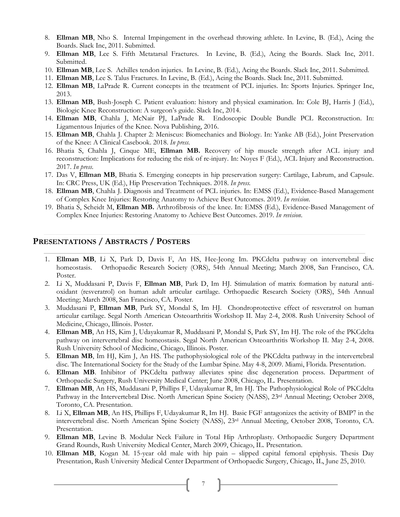- 8. **Ellman MB**, Nho S. Internal Impingement in the overhead throwing athlete. In Levine, B. (Ed.), Acing the Boards. Slack Inc, 2011. Submitted.
- 9. **Ellman MB**, Lee S. Fifth Metatarsal Fractures. In Levine, B. (Ed.), Acing the Boards. Slack Inc, 2011. Submitted.
- 10. **Ellman MB**, Lee S. Achilles tendon injuries. In Levine, B. (Ed.), Acing the Boards. Slack Inc, 2011. Submitted.
- 11. **Ellman MB**, Lee S. Talus Fractures. In Levine, B. (Ed.), Acing the Boards. Slack Inc, 2011. Submitted.
- 12. **Ellman MB**, LaPrade R. Current concepts in the treatment of PCL injuries. In: Sports Injuries. Springer Inc, 2013.
- 13. **Ellman MB**, Bush-Joseph C. Patient evaluation: history and physical examination. In: Cole BJ, Harris J (Ed.), Biologic Knee Reconstruction: A surgeon's guide. Slack Inc, 2014.
- 14. **Ellman MB**, Chahla J, McNair PJ, LaPrade R. Endoscopic Double Bundle PCL Reconstruction. In: Ligamentous Injuries of the Knee. Nova Publishing, 2016.
- 15. **Ellman MB**, Chahla J. Chapter 2: Meniscus: Biomechanics and Biology. In: Yanke AB (Ed.), Joint Preservation of the Knee: A Clinical Casebook. 2018. *In press*.
- 16. Bhatia S, Chahla J, Cinque ME, **Ellman MB.** Recovery of hip muscle strength after ACL injury and reconstruction: Implications for reducing the risk of re-injury. In: Noyes F (Ed.), ACL Injury and Reconstruction. 2017. *In press*.
- 17. Das V, **Ellman MB**, Bhatia S. Emerging concepts in hip preservation surgery: Cartilage, Labrum, and Capsule. In: CRC Press, UK (Ed.), Hip Preservation Techniques. 2018. *In press.*
- 18. **Ellman MB**, Chahla J. Diagnosis and Treatment of PCL injuries. In: EMSS (Ed.), Evidence-Based Management of Complex Knee Injuries: Restoring Anatomy to Achieve Best Outcomes. 2019. *In revision*.
- 19. Bhatia S, Scheidt M, **Ellman MB.** Arthrofibrosis of the knee. In: EMSS (Ed.), Evidence-Based Management of Complex Knee Injuries: Restoring Anatomy to Achieve Best Outcomes. 2019. *In revision*.

### **PRESENTATIONS / ABSTRACTS / POSTERS**

- 1. **Ellman MB**, Li X, Park D, Davis F, An HS, Hee-Jeong Im. PKCdelta pathway on intervertebral disc homeostasis. Orthopaedic Research Society (ORS), 54th Annual Meeting; March 2008, San Francisco, CA. Poster.
- 2. Li X, Muddasani P, Davis F, **Ellman MB**, Park D, Im HJ. Stimulation of matrix formation by natural antioxidant (resveratrol) on human adult articular cartilage. Orthopaedic Research Society (ORS), 54th Annual Meeting; March 2008, San Francisco, CA. Poster.
- 3. Muddasani P, **Ellman MB**, Park SY, Mondal S, Im HJ. Chondroprotective effect of resveratrol on human articular cartilage. Segal North American Osteoarthritis Workshop II. May 2-4, 2008. Rush University School of Medicine, Chicago, Illinois. Poster.
- 4. **Ellman MB**, An HS, Kim J, Udayakumar R, Muddasani P, Mondal S, Park SY, Im HJ. The role of the PKCdelta pathway on intervertebral disc homeostasis. Segal North American Osteoarthritis Workshop II. May 2-4, 2008. Rush University School of Medicine, Chicago, Illinois. Poster.
- 5. **Ellman MB**, Im HJ, Kim J, An HS. The pathophysiological role of the PKCdelta pathway in the intervertebral disc. The International Society for the Study of the Lumbar Spine. May 4-8, 2009. Miami, Florida. Presentation.
- 6. **Ellman MB**. Inhibitor of PKCdelta pathway alleviates spine disc degeneration process. Department of Orthopaedic Surgery, Rush University Medical Center; June 2008, Chicago, IL. Presentation.
- 7. **Ellman MB**, An HS, Muddasani P, Phillips F, Udayakumar R, Im HJ. The Pathophysiological Role of PKCdelta Pathway in the Intervertebral Disc. North American Spine Society (NASS), 23<sup>rd</sup> Annual Meeting; October 2008, Toronto, CA. Presentation.
- 8. Li X, **Ellman MB**, An HS, Phillips F, Udayakumar R, Im HJ. Basic FGF antagonizes the activity of BMP7 in the intervertebral disc. North American Spine Society (NASS), 23rd Annual Meeting, October 2008, Toronto, CA. Presentation.
- 9. **Ellman MB**, Levine B. Modular Neck Failure in Total Hip Arthroplasty. Orthopaedic Surgery Department Grand Rounds, Rush University Medical Center, March 2009, Chicago, IL. Presentation.
- 10. **Ellman MB**, Kogan M. 15-year old male with hip pain slipped capital femoral epiphysis. Thesis Day Presentation, Rush University Medical Center Department of Orthopaedic Surgery, Chicago, IL, June 25, 2010.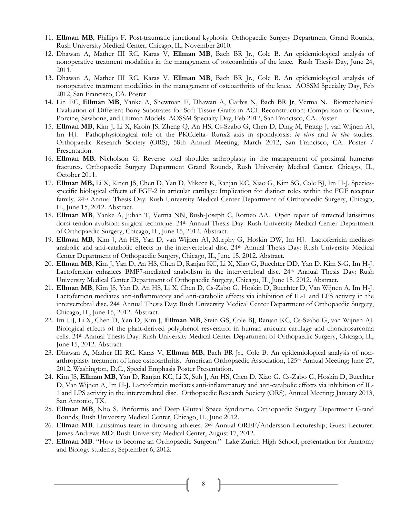- 11. **Ellman MB**, Phillips F. Post-traumatic junctional kyphosis. Orthopaedic Surgery Department Grand Rounds, Rush University Medical Center, Chicago, IL, November 2010.
- 12. Dhawan A, Mather III RC, Karas V, **Ellman MB**, Bach BR Jr., Cole B. An epidemiological analysis of nonoperative treatment modalities in the management of osteoarthritis of the knee. Rush Thesis Day, June 24, 2011.
- 13. Dhawan A, Mather III RC, Karas V, **Ellman MB**, Bach BR Jr., Cole B. An epidemiological analysis of nonoperative treatment modalities in the management of osteoarthritis of the knee. AOSSM Specialty Day, Feb 2012, San Francisco, CA. Poster
- 14. Lin EC, **Ellman MB**, Yanke A, Shewman E, Dhawan A, Garbis N, Bach BR Jr, Verma N. Biomechanical Evaluation of Different Bony Substrates for Soft Tissue Grafts in ACL Reconstruction: Comparison of Bovine, Porcine, Sawbone, and Human Models. AOSSM Specialty Day, Feb 2012, San Francisco, CA. Poster
- 15. **Ellman MB**, Kim J, Li X, Kroin JS, Zheng Q, An HS, Cs-Szabo G, Chen D, Ding M, Pratap J, van Wijnen AJ, Im HJ. Pathophysiological role of the PKCdelta- Runx2 axis in spondylosis: *in vitro* and *in vivo* studies. Orthopaedic Research Society (ORS), 58th Annual Meeting; March 2012, San Francisco, CA. Poster / Presentation.
- 16. **Ellman MB**, Nicholson G. Reverse total shoulder arthroplasty in the management of proximal humerus fractures. Orthopaedic Surgery Department Grand Rounds, Rush University Medical Center, Chicago, IL, October 2011.
- 17. **Ellman MB,** Li X, Kroin JS, Chen D, Yan D, Mikecz K, Ranjan KC, Xiao G, Kim SG, Cole BJ, Im H-J. Speciesspecific biological effects of FGF-2 in articular cartilage: Implication for distinct roles within the FGF receptor family. 24th Annual Thesis Day: Rush University Medical Center Department of Orthopaedic Surgery, Chicago, IL, June 15, 2012. Abstract.
- 18. **Ellman MB**, Yanke A, Juhan T, Verma NN, Bush-Joseph C, Romeo AA. Open repair of retracted latissimus dorsi tendon avulsion: surgical technique. 24th Annual Thesis Day: Rush University Medical Center Department of Orthopaedic Surgery, Chicago, IL, June 15, 2012. Abstract.
- 19. **Ellman MB**, Kim J, An HS, Yan D, van Wijnen AJ, Murphy G, Hoskin DW, Im HJ. Lactoferricin mediates anabolic and anti-catabolic effects in the intervertebral disc. 24th Annual Thesis Day: Rush University Medical Center Department of Orthopaedic Surgery, Chicago, IL, June 15, 2012. Abstract.
- 20. **Ellman MB**, Kim J, Yan D, An HS, Chen D, Ranjan KC, Li X, Xiao G, Buechter DD, Yan D, Kim S-G, Im H-J. Lactoferricin enhances BMP7-mediated anabolism in the intervertebral disc. 24th Annual Thesis Day: Rush University Medical Center Department of Orthopaedic Surgery, Chicago, IL, June 15, 2012. Abstract.
- 21. **Ellman MB**, Kim JS, Yan D, An HS, Li X, Chen D, Cs-Zabo G, Hoskin D, Buechter D, Van Wijnen A, Im H-J. Lactoferricin mediates anti-inflammatory and anti-catabolic effects via inhibition of IL-1 and LPS activity in the intervertebral disc. 24th Annual Thesis Day: Rush University Medical Center Department of Orthopaedic Surgery, Chicago, IL, June 15, 2012. Abstract.
- 22. Im HJ, Li X, Chen D, Yan D, Kim J, **Ellman MB**, Stein GS, Cole BJ, Ranjan KC, Cs-Szabo G, van Wijnen AJ. Biological effects of the plant-derived polyphenol resveratrol in human articular cartilage and chondrosarcoma cells. 24th Annual Thesis Day: Rush University Medical Center Department of Orthopaedic Surgery, Chicago, IL, June 15, 2012. Abstract.
- 23. Dhawan A, Mather III RC, Karas V, **Ellman MB**, Bach BR Jr., Cole B. An epidemiological analysis of nonarthroplasty treatment of knee osteoarthritis. American Orthopaedic Association, 125th Annual Meeting; June 27, 2012, Washington, D.C., Special Emphasis Poster Presentation.
- 24. Kim JS, **Ellman MB**, Yan D, Ranjan KC, Li X, Suh J, An HS, Chen D, Xiao G, Cs-Zabo G, Hoskin D, Buechter D, Van Wijnen A, Im H-J. Lactoferricin mediates anti-inflammatory and anti-catabolic effects via inhibition of IL-1 and LPS activity in the intervertebral disc. Orthopaedic Research Society (ORS), Annual Meeting; January 2013, San Antonio, TX.
- 25. **Ellman MB**, Nho S. Piriformis and Deep Gluteal Space Syndrome. Orthopaedic Surgery Department Grand Rounds, Rush University Medical Center, Chicago, IL, June 2012.
- 26. **Ellman MB**. Latissimus tears in throwing athletes. 2nd Annual OREF/Andersson Lectureship; Guest Lecturer: James Andrews MD; Rush University Medical Center, August 17, 2012.
- 27. **Ellman MB**. "How to become an Orthopaedic Surgeon." Lake Zurich High School, presentation for Anatomy and Biology students; September 6, 2012.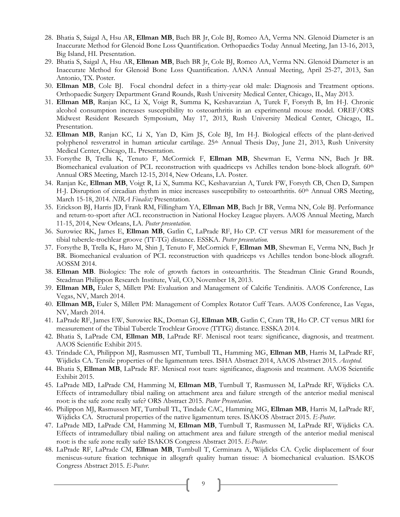- 28. Bhatia S, Saigal A, Hsu AR, **Ellman MB**, Bach BR Jr, Cole BJ, Romeo AA, Verma NN. Glenoid Diameter is an Inaccurate Method for Glenoid Bone Loss Quantification. Orthopaedics Today Annual Meeting, Jan 13-16, 2013, Big Island, HI. Presentation.
- 29. Bhatia S, Saigal A, Hsu AR, **Ellman MB**, Bach BR Jr, Cole BJ, Romeo AA, Verma NN. Glenoid Diameter is an Inaccurate Method for Glenoid Bone Loss Quantification. AANA Annual Meeting, April 25-27, 2013, San Antonio, TX. Poster.
- 30. **Ellman MB**, Cole BJ. Focal chondral defect in a thirty-year old male: Diagnosis and Treatment options. Orthopaedic Surgery Department Grand Rounds, Rush University Medical Center, Chicago, IL, May 2013.
- 31. **Ellman MB**, Ranjan KC, Li X, Voigt R, Summa K, Keshavarzian A, Turek F, Forsyth B, Im H-J. Chronic alcohol consumption increases susceptibility to osteoarthritis in an experimental mouse model. OREF/ORS Midwest Resident Research Symposium, May 17, 2013, Rush University Medical Center, Chicago, IL. Presentation.
- 32. **Ellman MB**, Ranjan KC, Li X, Yan D, Kim JS, Cole BJ, Im H-J. Biological effects of the plant-derived polyphenol resveratrol in human articular cartilage. 25<sup>th</sup> Annual Thesis Day, June 21, 2013, Rush University Medical Center, Chicago, IL. Presentation.
- 33. Forsythe B, Trella K, Tenuto F, McCormick F, **Ellman MB**, Shewman E, Verma NN, Bach Jr BR. Biomechanical evaluation of PCL reconstruction with quadriceps vs Achilles tendon bone-block allograft. 60<sup>th</sup> Annual ORS Meeting, March 12-15, 2014, New Orleans, LA. Poster.
- 34. Ranjan Kc, **Ellman MB**, Voigt R, Li X, Summa KC, Keshavarzian A, Turek FW, Forsyth CB, Chen D, Sampen H-J. Disruption of circadian rhythm in mice increases susceptibility to osteoarthritis.  $60<sup>th</sup>$  Annual ORS Meeting, March 15-18, 2014. *NIRA Finalist;* Presentation.
- 35. Erickson BJ, Harris JD, Frank RM, Fillingham YA, **Ellman MB**, Bach Jr BR, Verma NN, Cole BJ. Performance and return-to-sport after ACL reconstruction in National Hockey League players. AAOS Annual Meeting, March 11-15, 2014, New Orleans, LA. *Poster presentation.*
- 36. Surowiec RK, James E, **Ellman MB**, Gatlin C, LaPrade RF, Ho CP. CT versus MRI for measurement of the tibial tubercle-trochlear groove (TT-TG) distance. ESSKA. *Poster presentation.*
- 37. Forsythe B, Trella K, Haro M, Shin J, Tenuto F, McCormick F, **Ellman MB**, Shewman E, Verma NN, Bach Jr BR. Biomechanical evaluation of PCL reconstruction with quadriceps vs Achilles tendon bone-block allograft. AOSSM 2014.
- 38. **Ellman MB**. Biologics: The role of growth factors in osteoarthritis. The Steadman Clinic Grand Rounds, Steadman Philippon Research Institute, Vail, CO, November 18, 2013.
- 39. **Ellman MB,** Euler S, Millett PM: Evaluation and Management of Calcific Tendinitis. AAOS Conference, Las Vegas, NV, March 2014.
- 40. **Ellman MB,** Euler S, Millett PM: Management of Complex Rotator Cuff Tears. AAOS Conference, Las Vegas, NV, March 2014.
- 41. LaPrade RF, James EW, Surowiec RK, Dornan GJ, **Ellman MB**, Gatlin C, Cram TR, Ho CP. CT versus MRI for measurement of the Tibial Tubercle Trochlear Groove (TTTG) distance. ESSKA 2014.
- 42. Bhatia S, LaPrade CM, **Ellman MB**, LaPrade RF. Meniscal root tears: significance, diagnosis, and treatment. AAOS Scientific Exhibit 2015.
- 43. Trindade CA, Philippon MJ, Rasmussen MT, Turnbull TL, Hamming MG, **Ellman MB**, Harris M, LaPrade RF, Wijdicks CA. Tensile properties of the ligamentum teres. ISHA Abstract 2014, AAOS Abstract 2015. *Accepted*.
- 44. Bhatia S, **Ellman MB**, LaPrade RF. Meniscal root tears: significance, diagnosis and treatment. AAOS Scientific Exhibit 2015.
- 45. LaPrade MD, LaPrade CM, Hamming M, **Ellman MB**, Turnbull T, Rasmussen M, LaPrade RF, Wijdicks CA. Effects of intramedullary tibial nailing on attachment area and failure strength of the anterior medial meniscal root: is the safe zone really safe? ORS Abstract 2015. *Poster Presentation*.
- 46. Philippon MJ, Rasmussen MT, Turnbull TL, Tindade CAC, Hamming MG, **Ellman MB**, Harris M, LaPrade RF, Wijdicks CA. Structural properties of the native ligamentum teres. ISAKOS Abstract 2015. *E-Poster*.
- 47. LaPrade MD, LaPrade CM, Hamming M, **Ellman MB**, Turnbull T, Rasmussen M, LaPrade RF, Wijdicks CA. Effects of intramedullary tibial nailing on attachment area and failure strength of the anterior medial meniscal root: is the safe zone really safe? ISAKOS Congress Abstract 2015. *E-Poster*.
- 48. LaPrade RF, LaPrade CM, **Ellman MB**, Turnbull T, Cerminara A, Wijdicks CA. Cyclic displacement of four meniscus-suture fixation technique in allograft quality human tissue: A biomechanical evaluation. ISAKOS Congress Abstract 2015. *E-Poster*.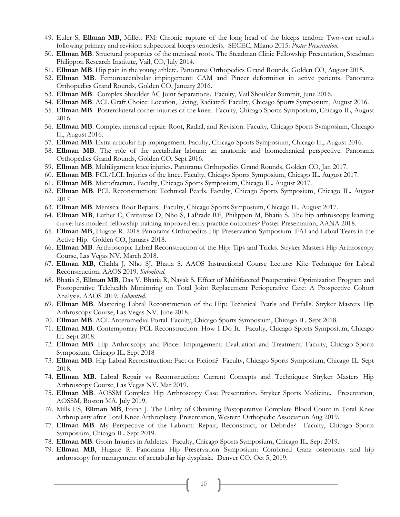- 49. Euler S, **Ellman MB**, Millett PM: Chronic rupture of the long head of the biceps tendon: Two-year results following primary and revision subpectoral biceps tenodesis. SECEC, Milano 2015: *Poster Presentation.*
- 50. **Ellman MB**. Structural properties of the meniscal roots. The Steadman Clinic Fellowship Presentation, Steadman Philippon Research Institute, Vail, CO, July 2014.
- 51. **Ellman MB**. Hip pain in the young athlete. Panorama Orthopedics Grand Rounds, Golden CO, August 2015.
- 52. **Ellman MB**. Femoroacetabular impingement: CAM and Pincer deformities in active patients. Panorama Orthopedics Grand Rounds, Golden CO, January 2016.
- 53. **Ellman MB**. Complex Shoulder AC Joint Separations. Faculty, Vail Shoulder Summit, June 2016.
- 54. **Ellman MB**. ACL Graft Choice: Location, Living, Radiated? Faculty, Chicago Sports Symposium, August 2016.
- 55. **Ellman MB**. Posterolateral corner injuries of the knee. Faculty, Chicago Sports Symposium, Chicago IL, August 2016.
- 56. **Ellman MB**. Complex meniscal repair: Root, Radial, and Revision. Faculty, Chicago Sports Symposium, Chicago IL, August 2016.
- 57. **Ellman MB**. Extra-articular hip impingement. Faculty, Chicago Sports Symposium, Chicago IL, August 2016.
- 58. **Ellman MB**. The role of the acetabular labrum: an anatomic and biomechanical perspective. Panorama Orthopedics Grand Rounds, Golden CO, Sept 2016.
- 59. **Ellman MB**. Multiligament knee injuries. Panorama Orthopedics Grand Rounds, Golden CO, Jan 2017.
- 60. **Ellman MB**. FCL/LCL Injuries of the knee. Faculty, Chicago Sports Symposium, Chicago IL. August 2017.
- 61. **Ellman MB**. Microfracture. Faculty, Chicago Sports Symposium, Chicago IL. August 2017.
- 62. **Ellman MB**. PCL Reconstruction: Technical Pearls. Faculty, Chicago Sports Symposium, Chicago IL. August 2017.
- 63. **Ellman MB**. Meniscal Root Repairs. Faculty, Chicago Sports Symposium, Chicago IL. August 2017.
- 64. **Ellman MB**, Luther C, Civitarese D, Nho S, LaPrade RF, Philippon M, Bhatia S. The hip arthroscopy learning curve: has modern fellowship training improved early practice outcomes? Poster Presentation, AANA 2018.
- 65. **Ellman MB**, Hugate R. 2018 Panorama Orthopedics Hip Preservation Symposium. FAI and Labral Tears in the Active Hip. Golden CO, January 2018.
- 66. **Ellman MB**. Arthroscopic Labral Reconstruction of the Hip: Tips and Tricks. Stryker Masters Hip Arthroscopy Course, Las Vegas NV. March 2018.
- 67. **Ellman MB**, Chahla J, Nho SJ, Bhatia S. AAOS Instructional Course Lecture: Kite Technique for Labral Reconstruction. AAOS 2019. *Submitted*.
- 68. Bhatia S, **Ellman MB**, Das V, Bhatia R, Nayak S. Effect of Multifaceted Preoperative Optimization Program and Postoperative Telehealth Monitoring on Total Joint Replacement Perioperative Care: A Prospective Cohort Analysis. AAOS 2019. *Submitted*.
- 69. **Ellman MB**. Mastering Labral Reconstruction of the Hip: Technical Pearls and Pitfalls. Stryker Masters Hip Arthroscopy Course, Las Vegas NV. June 2018.
- 70. **Ellman MB**. ACL Anteromedial Portal. Faculty, Chicago Sports Symposium, Chicago IL. Sept 2018.
- 71. **Ellman MB**. Contemporary PCL Reconstruction: How I Do It. Faculty, Chicago Sports Symposium, Chicago IL. Sept 2018.
- 72. **Ellman MB**. Hip Arthroscopy and Pincer Impingement: Evaluation and Treatment. Faculty, Chicago Sports Symposium, Chicago IL. Sept 2018
- 73. **Ellman MB**. Hip Labral Reconstruction: Fact or Fiction? Faculty, Chicago Sports Symposium, Chicago IL. Sept 2018.
- 74. **Ellman MB**. Labral Repair vs Reconstruction: Current Concepts and Techniques: Stryker Masters Hip Arthroscopy Course, Las Vegas NV. Mar 2019.
- 75. **Ellman MB**. AOSSM Complex Hip Arthroscopy Case Presentation. Stryker Sports Medicine. Presentation, AOSSM, Boston MA. July 2019.
- 76. Mills ES, **Ellman MB**, Foran J. The Utility of Obtaining Postoperative Complete Blood Count in Total Knee Arthroplasty after Total Knee Arthroplasty. Presentation, Western Orthopedic Association Aug 2019.
- 77. **Ellman MB**. My Perspective of the Labrum: Repair, Reconstruct, or Debride? Faculty, Chicago Sports Symposium, Chicago IL. Sept 2019.
- 78. **Ellman MB**. Groin Injuries in Athletes. Faculty, Chicago Sports Symposium, Chicago IL. Sept 2019.
- 79. **Ellman MB**, Hugate R. Panorama Hip Preservation Symposium: Combined Ganz osteotomy and hip arthroscopy for management of acetabular hip dysplasia. Denver CO. Oct 5, 2019.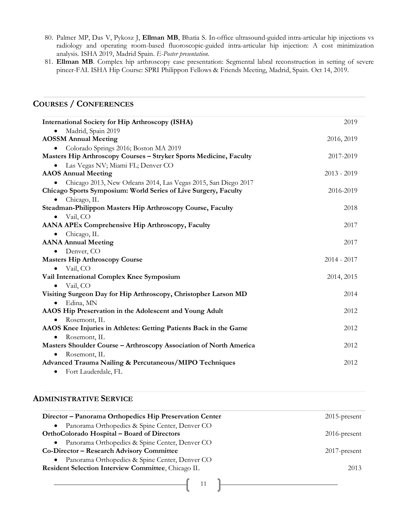- 80. Palmer MP, Das V, Pykosz J, **Ellman MB**, Bhatia S. In-office ultrasound-guided intra-articular hip injections vs radiology and operating room-based fluoroscopic-guided intra-articular hip injection: A cost minimization analysis. ISHA 2019, Madrid Spain. *E-Poster presentation*.
- 81. **Ellman MB**. Complex hip arthroscopy case presentation: Segmental labral reconstruction in setting of severe pincer-FAI. ISHA Hip Course: SPRI Philippon Fellows & Friends Meeting, Madrid, Spain. Oct 14, 2019.

### **COURSES / CONFERENCES**

| <b>International Society for Hip Arthroscopy (ISHA)</b>            | 2019          |
|--------------------------------------------------------------------|---------------|
| Madrid, Spain 2019                                                 |               |
| <b>AOSSM Annual Meeting</b>                                        | 2016, 2019    |
| Colorado Springs 2016; Boston MA 2019                              |               |
| Masters Hip Arthroscopy Courses - Stryker Sports Medicine, Faculty | 2017-2019     |
| Las Vegas NV; Miami FL; Denver CO                                  |               |
| <b>AAOS</b> Annual Meeting                                         | $2013 - 2019$ |
| Chicago 2013, New Orleans 2014, Las Vegas 2015, San Diego 2017     |               |
| Chicago Sports Symposium: World Series of Live Surgery, Faculty    | 2016-2019     |
| Chicago, IL<br>$\bullet$                                           |               |
| Steadman-Philippon Masters Hip Arthroscopy Course, Faculty         | 2018          |
| Vail, CO<br>$\bullet$                                              |               |
| AANA APEx Comprehensive Hip Arthroscopy, Faculty                   | 2017          |
| Chicago, IL<br>٠                                                   |               |
| <b>AANA Annual Meeting</b>                                         | 2017          |
| Denver, CO                                                         |               |
| <b>Masters Hip Arthroscopy Course</b>                              | $2014 - 2017$ |
| Vail, CO<br>$\bullet$                                              |               |
| Vail International Complex Knee Symposium                          | 2014, 2015    |
| Vail, CO                                                           |               |
| Visiting Surgeon Day for Hip Arthroscopy, Christopher Larson MD    | 2014          |
| Edina, MN<br>$\bullet$                                             |               |
| AAOS Hip Preservation in the Adolescent and Young Adult            | 2012          |
| Rosemont, IL                                                       |               |
| AAOS Knee Injuries in Athletes: Getting Patients Back in the Game  | 2012          |
| Rosemont, IL                                                       |               |
| Masters Shoulder Course - Arthroscopy Association of North America | 2012          |
| Rosemont, IL                                                       |               |
| Advanced Trauma Nailing & Percutaneous/MIPO Techniques             | 2012          |
| Fort Lauderdale, FL<br>٠                                           |               |

### **ADMINISTRATIVE SERVICE**

| Director – Panorama Orthopedics Hip Preservation Center                                                    | $2015$ -present |
|------------------------------------------------------------------------------------------------------------|-----------------|
| Panorama Orthopedics & Spine Center, Denver CO<br>$\bullet$<br>OrthoColorado Hospital – Board of Directors | $2016$ -present |
| Panorama Orthopedics & Spine Center, Denver CO<br>$\bullet$<br>Co-Director - Research Advisory Committee   | $2017$ -present |
| Panorama Orthopedics & Spine Center, Denver CO<br>Resident Selection Interview Committee, Chicago IL       | 2013            |